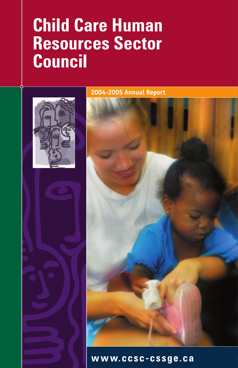# **Child Care Human Resources Sector Council**



2004-2005 Annual Report

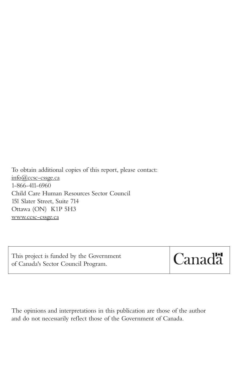To obtain additional copies of this report, please contact: info@ccsc-cssge.ca 1-866-411-6960 Child Care Human Resources Sector Council 151 Slater Street, Suite 714 Ottawa (ON) K1P 5H3 www.ccsc-cssge.ca

| This project is funded by the Government |  |
|------------------------------------------|--|
| of Canada's Sector Council Program.      |  |



The opinions and interpretations in this publication are those of the author and do not necessarily reflect those of the Government of Canada.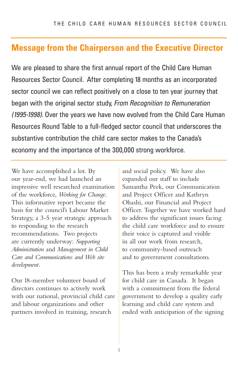# **Message from the Chairperson and the Executive Director**

We are pleased to share the first annual report of the Child Care Human Resources Sector Council. After completing 18 months as an incorporated sector council we can reflect positively on a close to ten year journey that began with the original sector study, *From Recognition to Remuneration (1995-1998)*. Over the years we have now evolved from the Child Care Human Resources Round Table to a full-fledged sector council that underscores the substantive contribution the child care sector makes to the Canada's economy and the importance of the 300,000 strong workforce.

We have accomplished a lot. By our year-end, we had launched an impressive well researched examination of the workforce, *Working for Change*. This informative report became the basis for the council's Labour Market Strategy, a 3-5 year strategic approach to responding to the research recommendations. Two projects are currently underway: *Supporting Administration* and *Management in Child Care and Communications and Web site development*.

Our 18-member volunteer board of directors continues to actively work with our national, provincial child care and labour organizations and other partners involved in training, research

and social policy. We have also expanded our staff to include Samantha Peek, our Communication and Project Officer and Kathryn Ohashi, our Financial and Project Officer. Together we have worked hard to address the significant issues facing the child care workforce and to ensure their voice is captured and visible in all our work from research, to community-based outreach and to government consultations.

This has been a truly remarkable year for child care in Canada. It began with a commitment from the federal government to develop a quality early learning and child care system and ended with anticipation of the signing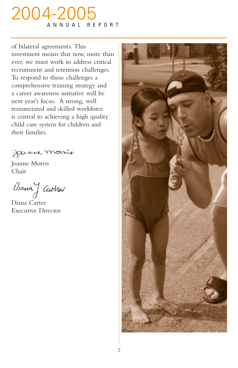# 2004-2005 ANNUAL REPORT

of bilateral agreements. This investment means that now, more than ever, we must work to address critical recruitment and retention challenges. To respond to those challenges a comprehensive training strategy and a career awareness initiative will be next year's focus. A strong, well remunerated and skilled workforce is central to achieving a high quality child care system for children and their families.

Janne monis

Joanne Morris Chair

Diana J Ca*Nas*<br>Diana Carter

Executive Director

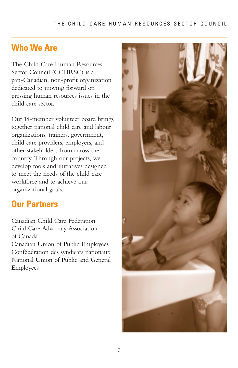#### THE CHILD CARE HUMAN RESOURCES SECTOR COUNCIL

# **Who We Are**

The Child Care Human Resources Sector Council (CCHRSC) is a pan-Canadian, non-profit organization dedicated to moving forward on pressing human resources issues in the child care sector.

Our 18-member volunteer board brings together national child care and labour organizations, trainers, government, child care providers, employers, and other stakeholders from across the country. Through our projects, we develop tools and initiatives designed to meet the needs of the child care workforce and to achieve our organizational goals.

# **Our Partners**

Canadian Child Care Federation Child Care Advocacy Association of Canada

Canadian Union of Public Employees Confédération des syndicats nationaux National Union of Public and General Employees

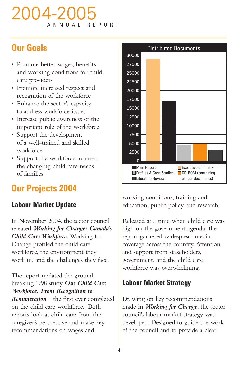# 2004-2005 ANNUAL

# **Our Goals**

- Promote better wages, benefits and working conditions for child care providers
- Promote increased respect and recognition of the workforce
- Enhance the sector's capacity to address workforce issues
- Increase public awareness of the important role of the workforce
- Support the development of a well-trained and skilled workforce
- Support the workforce to meet the changing child care needs of families

# **Our Projects 2004**

### **Labour Market Update**

In November 2004, the sector council released *Working for Change: Canada's Child Care Workforce*. Working for Change profiled the child care workforce, the environment they work in, and the challenges they face.

The report updated the groundbreaking 1998 study *Our Child Care Workforce: From Recognition to Remuneration*—the first ever completed on the child care workforce. Both reports look at child care from the caregiver's perspective and make key recommendations on wages and



working conditions, training and education, public policy, and research.

Released at a time when child care was high on the government agenda, the report garnered widespread media coverage across the country. Attention and support from stakeholders, government, and the child care workforce was overwhelming.

### **Labour Market Strategy**

Drawing on key recommendations made in *Working for Change*, the sector council's labour market strategy was developed. Designed to guide the work of the council and to provide a clear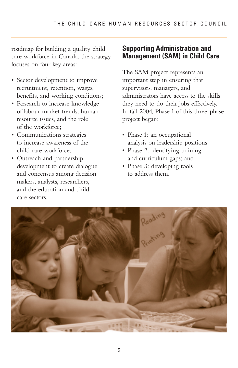roadmap for building a quality child care workforce in Canada, the strategy focuses on four key areas:

- Sector development to improve recruitment, retention, wages, benefits, and working conditions;
- Research to increase knowledge of labour market trends, human resource issues, and the role of the workforce;
- Communications strategies to increase awareness of the child care workforce;
- Outreach and partnership development to create dialogue and concensus among decision makers, analysts, researchers, and the education and child care sectors.

### **Supporting Administration and Management (SAM) in Child Care**

The SAM project represents an important step in ensuring that supervisors, managers, and administrators have access to the skills they need to do their jobs effectively. In fall 2004, Phase 1 of this three-phase project began:

- Phase 1: an occupational analysis on leadership positions
- Phase 2: identifying training and curriculum gaps; and
- Phase 3: developing tools to address them.

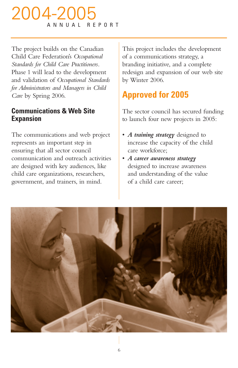# 2004-2005 ANNUAL REPORT

The project builds on the Canadian Child Care Federation's *Occupational Standards for Child Care Practitioners*. Phase 1 will lead to the development and validation of *Occupational Standards for Administrators and Managers in Child Care* by Spring 2006.

### **Communications & Web Site Expansion**

The communications and web project represents an important step in ensuring that all sector council communication and outreach activities are designed with key audiences, like child care organizations, researchers, government, and trainers, in mind.

This project includes the development of a communications strategy, a branding initiative, and a complete redesign and expansion of our web site by Winter 2006.

# **Approved for 2005**

The sector council has secured funding to launch four new projects in 2005:

- *A training strategy* designed to increase the capacity of the child care workforce;
- *A career awareness strategy* designed to increase awareness and understanding of the value of a child care career;

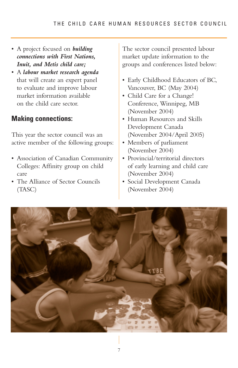- A project focused on *building connections with First Nations, Inuit, and Metis child care;*
- A *labour market research agenda* that will create an expert panel to evaluate and improve labour market information available on the child care sector.

### **Making connections:**

This year the sector council was an active member of the following groups:

- Association of Canadian Community Colleges: Affinity group on child care
- The Alliance of Sector Councils (TASC)

The sector council presented labour market update information to the groups and conferences listed below:

- Early Childhood Educators of BC, Vancouver, BC (May 2004)
- Child Care for a Change! Conference, Winnipeg, MB (November 2004)
- Human Resources and Skills Development Canada (November 2004/April 2005)
- Members of parliament (November 2004)
- Provincial/territorial directors of early learning and child care (November 2004)
- Social Development Canada (November 2004)

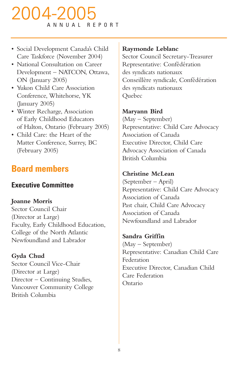# 2004-2005 ANNUAL REPORT

- Social Development Canada's Child Care Taskforce (November 2004)
- National Consultation on Career Development – NATCON, Ottawa, ON (January 2005)
- Yukon Child Care Association Conference, Whitehorse, YK (January 2005)
- Winter Recharge, Association of Early Childhood Educators of Halton, Ontario (February 2005)
- Child Care: the Heart of the Matter Conference, Surrey, BC (February 2005)

# **Board members**

# **Executive Committee**

### **Joanne Morris**

Sector Council Chair (Director at Large) Faculty, Early Childhood Education, College of the North Atlantic Newfoundland and Labrador

**Gyda Chud** Sector Council Vice-Chair (Director at Large) Director – Continuing Studies, Vancouver Community College British Columbia

### **Raymonde Leblanc**

Sector Council Secretary-Treasurer Representative: Confédération des syndicats nationaux Conseillère syndicale, Confédération des syndicats nationaux Quebec

### **Maryann Bird**

(May – September) Representative: Child Care Advocacy Association of Canada Executive Director, Child Care Advocacy Association of Canada British Columbia

### **Christine McLean**

(September – April) Representative: Child Care Advocacy Association of Canada Past chair, Child Care Advocacy Association of Canada Newfoundland and Labrador

**Sandra Griffin** (May – September) Representative: Canadian Child Care Federation Executive Director, Canadian Child Care Federation Ontario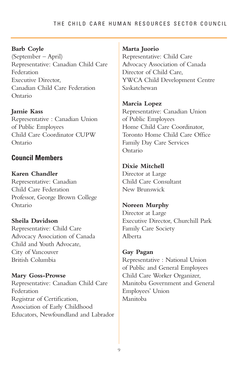#### THE CHILD CARE HUMAN RESOURCES SECTOR COUNCIL

#### **Barb Coyle**

(September – April) Representative: Canadian Child Care Federation Executive Director, Canadian Child Care Federation Ontario

**Jamie Kass** Representative : Canadian Union of Public Employees Child Care Coordinator CUPW Ontario

#### **Council Members**

**Karen Chandler** Representative: Canadian Child Care Federation Professor, George Brown College Ontario

**Sheila Davidson** Representative: Child Care Advocacy Association of Canada Child and Youth Advocate, City of Vancouver British Columbia

**Mary Goss-Prowse** Representative: Canadian Child Care Federation Registrar of Certification, Association of Early Childhood Educators, Newfoundland and Labrador

#### **Marta Juorio**

Representative: Child Care Advocacy Association of Canada Director of Child Care, YWCA Child Development Centre Saskatchewan

**Marcia Lopez**

Representative: Canadian Union of Public Employees Home Child Care Coordinator, Toronto Home Child Care Office Family Day Care Services Ontario

**Dixie Mitchell** Director at Large Child Care Consultant New Brunswick

**Noreen Murphy** Director at Large Executive Director, Churchill Park Family Care Society Alberta

#### **Gay Pagan**

Representative : National Union of Public and General Employees Child Care Worker Organizer, Manitoba Government and General Employees' Union Manitoba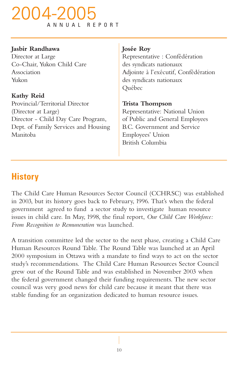# 2004-200 ANNUAL REPORT

#### **Jasbir Randhawa**

Director at Large Co-Chair, Yukon Child Care Association Yukon

**Kathy Reid** Provincial/Territorial Director (Director at Large) Director - Child Day Care Program, Dept. of Family Services and Housing Manitoba

#### **Josée Roy**

Representative : Confédération des syndicats nationaux Adjointe à l'exécutif, Confédération des syndicats nationaux Québec

#### **Trista Thompson**

Representative: National Union of Public and General Employees B.C. Government and Service Employees' Union British Columbia

# **History**

The Child Care Human Resources Sector Council (CCHRSC) was established in 2003, but its history goes back to February, 1996. That's when the federal government agreed to fund a sector study to investigate human resource issues in child care. In May, 1998, the final report, *Our Child Care Workforce: From Recognition to Remuneration* was launched.

A transition committee led the sector to the next phase, creating a Child Care Human Resources Round Table. The Round Table was launched at an April 2000 symposium in Ottawa with a mandate to find ways to act on the sector study's recommendations. The Child Care Human Resources Sector Council grew out of the Round Table and was established in November 2003 when the federal government changed their funding requirements. The new sector council was very good news for child care because it meant that there was stable funding for an organization dedicated to human resource issues.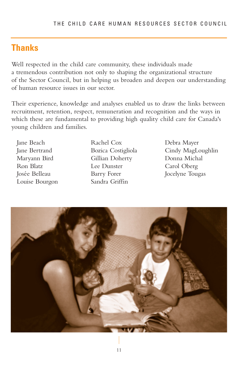# **Thanks**

Well respected in the child care community, these individuals made a tremendous contribution not only to shaping the organizational structure of the Sector Council, but in helping us broaden and deepen our understanding of human resource issues in our sector.

Their experience, knowledge and analyses enabled us to draw the links between recruitment, retention, respect, remuneration and recognition and the ways in which these are fundamental to providing high quality child care for Canada's young children and families.

Jane Beach Jane Bertrand Maryann Bird Ron Blatz Josée Belleau Louise Bourgon Rachel Cox Bozica Costigliola Gillian Doherty Lee Dunster Barry Forer Sandra Griffin

Debra Mayer Cindy MagLoughlin Donna Michal Carol Oberg Jocelyne Tougas

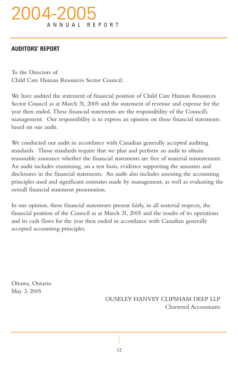# 2004-200 ANNUAL REPORT

#### **AUDITORS' REPORT**

To the Directors of Child Care Human Resources Sector Council:

We have audited the statement of financial position of Child Care Human Resources Sector Council as at March 31, 2005 and the statement of revenue and expense for the year then ended. These financial statements are the responsibility of the Council's management. Our responsibility is to express an opinion on these financial statements based on our audit.

We conducted our audit in accordance with Canadian generally accepted auditing standards. Those standards require that we plan and perform an audit to obtain reasonable assurance whether the financial statements are free of material misstatement. An audit includes examining, on a test basis, evidence supporting the amounts and disclosures in the financial statements. An audit also includes assessing the accounting principles used and significant estimates made by management, as well as evaluating the overall financial statement presentation.

In our opinion, these financial statements present fairly, in all material respects, the financial position of the Council as at March 31, 2005 and the results of its operations and its cash flows for the year then ended in accordance with Canadian generally accepted accounting principles.

Ottawa, Ontario May 3, 2005

> OUSELEY HANVEY CLIPSHAM DEEP LLP Chartered Accountants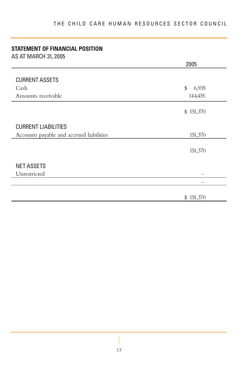### **STATEMENT OF FINANCIAL POSITION**

AS AT MARCH 31, 2005

|                                          | 2005            |
|------------------------------------------|-----------------|
|                                          |                 |
| <b>CURRENT ASSETS</b>                    |                 |
| Cash                                     | $\$\,$<br>6,935 |
| Amounts receivable                       | 144,435         |
|                                          | \$151,370       |
| <b>CURRENT LIABILITIES</b>               |                 |
| Accounts payable and accrued liabilities | 151,370         |
|                                          | 151,370         |
| <b>NET ASSETS</b>                        |                 |
| Unrestricted                             |                 |
|                                          | -               |
|                                          | \$151,370       |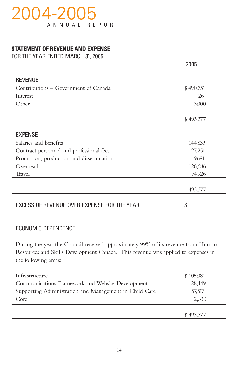# 004-20 ANNUAL REPORT

#### **STATEMENT OF REVENUE AND EXPENSE**

FOR THE YEAR ENDED MARCH 31, 2005

|                                             | 2005      |
|---------------------------------------------|-----------|
|                                             |           |
| <b>REVENUE</b>                              |           |
| Contributions – Government of Canada        | \$490,351 |
| Interest                                    | 26        |
| Other                                       | 3,000     |
|                                             | \$493,377 |
| <b>EXPENSE</b>                              |           |
| Salaries and benefits                       | 144,833   |
| Contract personnel and professional fees    | 127,251   |
| Promotion, production and dissemination     | 19,681    |
| Overhead                                    | 126,686   |
| <b>Travel</b>                               | 74,926    |
|                                             | 493,377   |
| EXCESS OF REVENUE OVER EXPENSE FOR THE YEAR | \$        |

### ECONOMIC DEPENDENCE

During the year the Council received approximately 99% of its revenue from Human Resources and Skills Development Canada. This revenue was applied to expenses in the following areas:

| Infrastructure                                         | \$405,081 |
|--------------------------------------------------------|-----------|
| Communications Framework and Website Development       | 28.449    |
| Supporting Administration and Management in Child Care | 57.517    |
| Core                                                   | 2,330     |
|                                                        |           |

\$ 493,377

14